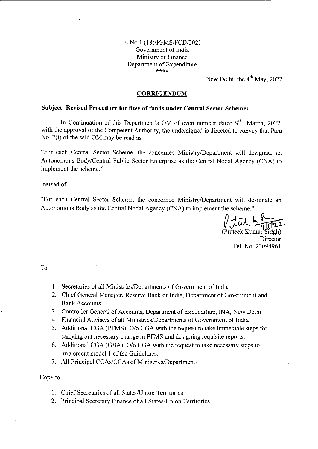## F. No <sup>1</sup> (18)/PFMS/FCD/2021 Government of India Ministry of Finance Department of Expenditure A \*

New Delhi, the  $4<sup>th</sup>$  May, 2022

## **CORRIGENDUM**

## **Subject: Revised Procedure for flow offunds under Central Sector Schemes.**

In Continuation of this Department's OM of even number dated  $9<sup>th</sup>$  March, 2022, with the approval of the Competent Authority, the undersigned is directed to convey that Para No.  $2(i)$  of the said OM may be read as

"For each Central Sector Scheme, the concerned Ministry/Department will designate an Autonomous Body/Central Public Sector Enterprise as the Central Nodal Agency (CNA) to implement the scheme."

Instead of

"For each Central Sector Scheme, the concerned Ministry/Department will designate an Autonomous Body as the Central Nodal Agency (CNA) to implement the scheme."

∥ J

(Prateek Kumar Singh) **Director** Tel. No. 23094961

To

- 1. Secretaries of all Ministries/Departments of Government of India
- 2. Chief General Manager, Reserve Bank of India, Department of Government and Bank Accounts
- 3. Controller General of Accounts, Department of Expenditure, INA, New Delhi
- 4. Financial Advisers of all Ministries/Departments of Government of India
- Additional CGA (PFMS), O/o CGA with the request to take immediate steps for 5. carrying out necessary change in PFMS and designing requisite reports.
- Additional CGA (GBA), O/o CGA with the request to take necessary steps to 6. implement model 1 of the Guidelines.
- 7. All Principal CCAs/CCAs of Ministries/Departments

Copy to:

- 1. Chief Secretaries of all States/Union Territories
- 2. Principal Secretary Finance of all States/Union Territories